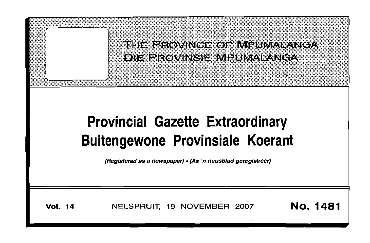

# **Provincial Gazette Extraordinary Buitengewone Provinsiale Koerant**

(Registered as a newspaper) • (As 'n nuusblad geregistreer)

**Vol. <sup>14</sup>** NELSPRUIT, <sup>19</sup> NOVEMBER <sup>2007</sup> No. 1481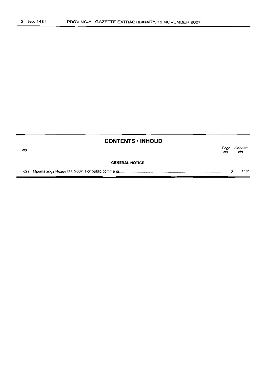$=$ 

|     | <b>CONTENTS • INHOUD</b> |             |                |
|-----|--------------------------|-------------|----------------|
| No. |                          | Page<br>No. | Gazette<br>No. |
|     | <b>GENERAL NOTICE</b>    |             |                |
|     |                          | з           | 1481           |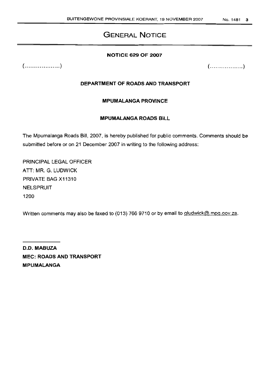# **GENERAL NOTICE**

## **NOTICE 629 OF 2007**

 $( \ldots \ldots \ldots \ldots \ldots )$ 

 $(\ldots, \ldots, \ldots, \ldots, \ldots)$ 

## **DEPARTMENT OF ROADS AND TRANSPORT**

## **MPUMALANGA PROVINCE**

## **MPUMALANGA ROADS BILL**

The Mpumalanga Roads Bill, 2007, is hereby published for public comments. Comments should be submitted before or on 21 December 2007 in writing to the following address:

PRINCIPAL LEGAL OFFICER ATT: MR. G. LUDWICK PRIVATE BAG X11310 NELSPRUIT 1200

Written comments may also be faxed to (013) 766 9710 or by email to gludwick@.mpg.gov.za.

D.O. **MABUZA MEC: ROADS AND TRANSPORT MPUMALANGA**

#### No. 1481 3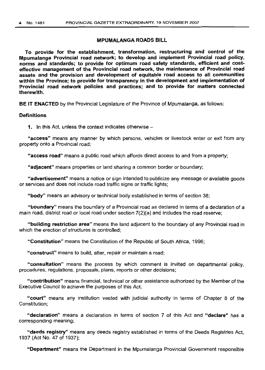#### MPUMALANGA ROADS BILL

To provide for the establishment, transformation, restructuring and control of the Mpumalanga Provincial road network; to develop and implement Provincial road policy, norms and standards; to provide for optimum road safety standards, efficient and costeffective management of the Provincial road network, the maintenance of Provincial road assets and the provision and development of equitable road access to all communities within the Province; to provide for transparency in the development and implementation of Provincial road network policies and practices; and to provide for matters connected therewith.

BE IT ENACTED by the Provincial Legislature of the Province of Mpumalanga, as follows:

## **Definitions**

1. In this Act, unless the context indicates otherwise  $-$ 

"access" means any manner by which persons, vehicles or livestock enter or exit from any property onto a Provincial road;

"access road" means a public road which affords direct access to and from a property;

"adjacent" means properties or land sharing a common border or boundary;

"advertisement" means a notice or sign intended to publicize any message or available goods or services and does not include road traffic signs or traffic lights;

"body" means an advisory or technical body established in terms of section 38;

"boundary" means the boundary of a Provincial road as declared in terms of a declaration of a main road, district road or local road under section 7(2)(a) and includes the road reserve;

"building restriction area" means the land adjacent to the boundary of any Provincial road in which the erection of structures is controlled;

"Constitution" means the Constitution of the Republic of South Africa, 1996;

"construct" means to build, alter, repair or maintain a road;

"consultation" means the process by which comment is invited on departmental policy, procedures, regulations, proposals, plans, reports or other decisions;

"contribution" means financial, technical or other assistance authorized by the Member of the Executive Council to achieve the purposes of this Act;

"court" means any institution vested with judicial authority in terms of Chapter 8 of the Constitution;

"declaration" means a declaration in terms of section 7 of this Act and "declare" has a corresponding meaning;

"deeds registry" means any deeds registry established in terms of the Deeds Registries Act, 1937 (Act No. 47 of 1937);

"Department" means the Department in the Mpumalanga Provincial Government responsible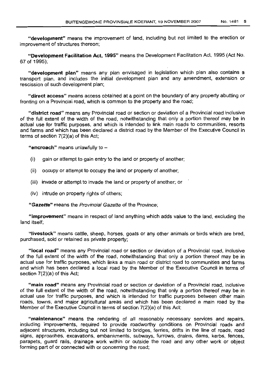"development" means the improvement of land, including but not limited to the erection or improvement of structures thereon;

"Development Facilitation Act, 1995" means the Development Facilitation Act, 1995 (Act No. 67 of 1995);

"development plan" means any plan envisaged in legislation which plan also contains a transport plan, and includes the initial development plan and any amendment, extension or rescission of such development plan;

"direct access" means access obtained at a point on the boundary of any property abutting or fronting on a Provincial road, which is common to the property and the road;

"district road" means any Provincial road or section or deviation of a Provincial road inclusive of the full extent of the width of the road, notwithstanding that only a portion thereof may be in actual use for traffic purposes, and which is intended to link main roads to communities, resorts and farms and which has been declared a district road by the Member of the Executive Council in terms of section 7(2)(a) of this Act;

"encroach" means unlawfully to  $-$ 

- (i) gain or attempt to gain entry to the land or property of another;
- (ii) occupy or attempt to occupy the land or property of another;
- (iii) invade or attempt to invade the land or property of another; or
- (iv) intrude on property rights of others;

"Gazette" means the Provincial Gazette of the Province:

"improvement" means in respect of land anything which adds value to the land, excluding the land itself;

"livestock" means cattle, sheep, horses, goats or any other animals or birds which are bred, purchased, sold or retained as private property;

"local road" means any Provincial road or section or deviation of a Provincial road, inclusive of the full extent of the width of the road, notwithstanding that only a portion thereof may be in actual use for traffic purposes, which links a main road or district road to communities and farms and which has been declared a local road by the Member of the Executive Council in terms of section 7(2)(a) of this Act;

"main road" means any Provincial road or section or deviation of a Provincial road, inclusive of the full extent of the width of the road, notwithstanding that only a portion thereof may be in actual use for traffic purposes, and which is intended for traffic purposes between other main roads, towns, and major agricultural areas and which has been declared a main road by the Member of the Executive Council in terms of section 7(2)(a) of this Act;

"maintenance" means the rendering of all reasonably necessary services and repairs, including improvements, required to provide roadworthy conditions on Provincial roads and adjacent structures, including but not limited to bridges, ferries, drifts in the line of roads, road signs, approaches, excavations, embankments, subways, furrows, drains, dams, kerbs, fences, parapets, guard rails, drainage work within or outside the road and any other work or object forming part of or connected with or concerning the road;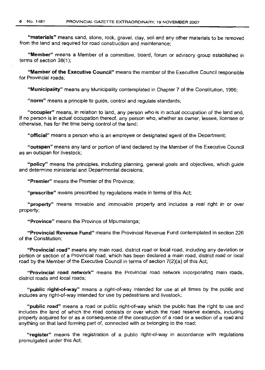"materials" means sand, stone, rock, gravel, clay, soil and any other materials to be removed from the land and required for road construction and maintenance;

"Member" means a Member of a committee, board, forum or advisory group established in terms of section 38(1);

"Member of the Executive Council" means the member of the Executive Council responsible for Provincial roads;

"Municipality" means any Municipality contemplated in Chapter 7 of the Constitution, 1996;

"norm" means a principle to guide, control and regulate standards;

"occupier" means, in relation to land, any person who is in actual occupation of the land and, if no person is in actual occupation thereof, any person who, whether as owner, lessee, licensee or otherwise, has for the time being control of the land;

"official" means a person who is an employee or designated agent of the Department;

"outspan" means any land or portion of land declared by the Member of the Executive Council as an outspan for livestock;

"policy" means the principles, including planning, general goals and objectives, which guide and determine ministerial and Departmental decisions;

"Premier" means the Premier of the Province;

"prescribe" means prescribed by regulations made in terms of this Act;

"property" means movable and immovable property and includes a real right in or over property;

"Province" means the Province of Mpumalanga;

"Provincial Revenue Fund" means the Provincial Revenue Fund contemplated in section 226 of the Constitution;

"Provincial road" means any main road, district road or local road, including any deviation or portion or section of a Provincial road, which has been declared a main road, district road or local road by the Member of the Executive Council in terms of section 7(2)(a) of this Act;

"Provincial road network" means the Provincial road network incorporating main roads, district roads and local roads;

"public right-of-way" means a right-of-way intended for use at all times by the public and includes any right-of-way intended for use by pedestrians and livestock;

"public road" means a road or public right-of-way which the public has the right to use and includes the land of which the road consists or over which the road reserve extends, including property acquired for or as a consequence of the construction of a road or a section of a road and anything on that land forming part of, connected with or belonging to the road;

"register" means the registration of a public right-of-way in accordance with regulations promulgated under this Act;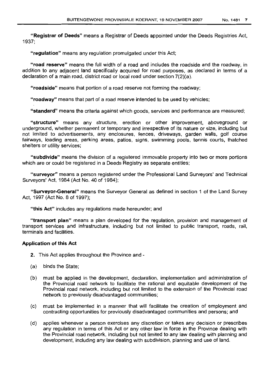"Registrar of Deeds" means a Registrar of Deeds appointed under the Deeds Registries Act, 1937;

"regulation" means any regulation promulgated under this Act;

"road reserve" means the full width of a road and includes the roadside and the roadway, in addition to any adjacent land specifically acquired for road purposes, as declared in terms of a declaration of a main road, district road or local road under section 7(2)(a).

"roadside" means that portion of a road reserve not forming the roadway;

"roadway" means that part of a road reserve intended to be used by vehicles;

"standard" means the criteria against which goods, services and performance are measured;

"structure" means any structure, erection or other improvement, aboveground or underground, whether permanent or temporary and irrespective of its nature or size, including but not limited to advertisements, any enclosures, fences, driveways, garden walls, golf course fairways, loading areas, parking areas, patios, signs, swimming pools, tennis courts, thatched shelters or utility services;

"subdivide" means the division of a registered immovable property into two or more portions which are or could be registered in a Deeds Registry as separate entities;

"surveyor" means a person registered under the Professional Land Surveyors' and Technical Surveyors' Act, 1984 (Act No. 40 of 1984);

"Surveyor-General" means the Surveyor General as defined in section 1 of the Land Survey Act, 1997 (Act No. 8 of 1997);

"this Act" includes any regulations made hereunder; and

"transport plan" means a plan developed for the regulation, provision and management of transport services and infrastructure, including but not limited to public transport, roads, rail, terminals and facilities.

## Application of this Act

- 2. This Act applies throughout the Province and -
- (a) binds the State;
- (b) must be applied in the development, declaration, implementation and administration of the Provincial road network to facilitate the rational and equitable development of the Provincial road network, including but not limited to the extension of the Provincial road network to previously disadvantaged communities;
- (c) must be implemented in a manner that will facilitate the creation of employment and contracting opportunities for previously disadvantaged communities and persons; and
- (d) applies whenever a person exercises any discretion or takes any decision or prescribes any regulation in terms of this Act or any other law in force in the Province dealing with the Provincial road network, including but not limited to any law dealing with planning and development, including any law dealing with subdivision, planning and use of land.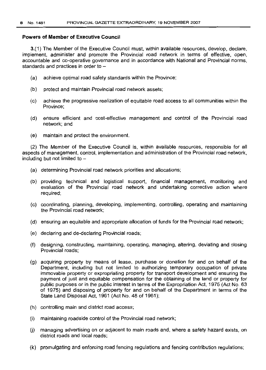## **Powers of Member of Executive Council**

3.(1) The Member of the Executive Council must, within available resources, develop, declare, implement, administer and promote the Provincial road network in terms of effective, open, accountable and co-operative governance and in accordance with National and Provincial norms, standards and practices in order to  $-$ 

- (a) achieve optimal road safety standards within the Province;
- (b) protect and maintain Provincial road network assets;
- (c) achieve the progressive realization of equitable road access to all communities within the Province;
- (d) ensure efficient and cost-effective management and control of the Provincial road network; and
- (e) maintain and protect the environment

(2) The Member of the Executive Council is, within available resources, responsible for all aspects of management, control, implementation and administration of the Provincial road network, including but not limited to  $-$ 

- (a) determining Provincial road network priorities and allocations;
- (b) providing technical and logistical support, financial management, monitoring and evaluation of the Provincial road network and undertaking corrective action where required;
- (c) coordinating, planning, developing, implementing, controlling, operating and maintaining the Provincial road network;
- (d) ensuring an equitable and appropriate allocation of funds for the Provincial road network;
- (e) declaring and de-declaring Provincial roads;
- (f) designing, constructing, maintaining, operating, managing, altering, deviating and closing Provincial roads;
- (g) acquiring property by means of lease, purchase or donation for and on behalf of the Department, including but not limited to authorizing temporary occupation of private immovable property or expropriating property for transport development and ensuring the payment of just and equitable compensation for the obtaining of the land or property for public purposes or in the public interest in terms of the Expropriation Act, 1975 (Act No. 63 of 1975) and disposing of property for and on behalf of the Department in terms of the State Land Disposal Act, 1961 (Act No. 48 of 1961);
- (h) controlling main and district road access;
- (i) maintaining roadside control of the Provincial road network;
- (j) managing advertising on or adjacent to main roads and, where a safety hazard exists, on district roads and local roads;
- (k) promulgating and enforcing road fencing regulations and fencing contribution regulations;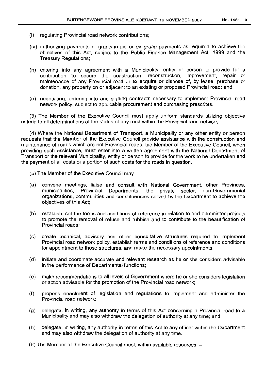- (I) regulating Provincial road network contributions;
- (m) authorizing payments of grants-in-aid or ex gratia payments as required to achieve the objectives of this Act, subject to the Public Finance Management Act, 1999 and the Treasury Regulations;
- (n) entering into any agreement with a Municipality, entity or person to provide for a contribution to secure the construction, reconstruction, improvement, repair or maintenance of any Provincial road or to acquire or dispose of, by lease, purchase or donation, any property on or adjacent to an existing or proposed Provincial road; and
- (0) negotiating, entering into and signing contracts necessary to implement Provincial road network policy, subject to applicable procurement and purchasing prescripts.

(3) The Member of the Executive Council must apply uniform standards utilizing objective criteria to all determinations of the status of any road within the Provincial road network.

(4) Where the National Department of Transport, a Municipality or any other entity or person requests that the Member of the Executive Council provide assistance with the construction and maintenance of roads which are not Provincial roads, the Member of the Executive Council, when providing such assistance, must enter into a written agreement with the National Department of Transport or the relevant Municipality, entity or person to provide for the work to be undertaken and the payment of all costs or a portion of such costs for the roads in question.

- $(5)$  The Member of the Executive Council may  $-$
- (a) convene meetings, liaise and consult with National Government, other Provinces, municipalities, Provincial Departments, the private sector, non-Governmental organizations, communities and constituencies served by the Department to achieve the objectives of this Act;
- (b) establish, set the terms and conditions of reference in relation to and administer projects to promote the removal of refuse and rubbish and to contribute to the beautification of Provincial roads;
- (c) create technical, advisory and other consultative structures required to implement Provincial road network policy, establish terms and conditions of reference and conditions for appointment to those structures, and make the necessary appointments;
- (d) initiate and coordinate accurate and relevant research as he or she considers advisable in the performance of Departmental functions;
- (e) make recommendations to all levels of Government where he or she considers legislation or action advisable for the promotion of the Provincial road network;
- (f) propose enactment of legislation and regulations to implement and administer the Provincial road network;
- (g) delegate, in writing, any authority in terms of this Act concerning a Provincial road to a Municipality and may also withdraw the delegation of authority at any time; and
- (h) delegate, in writing, any authority in terms of this Act to any officer within the Department and may also withdraw the delegation of authority at any time.
- (6) The Member of the Executive Council must, within available resources, -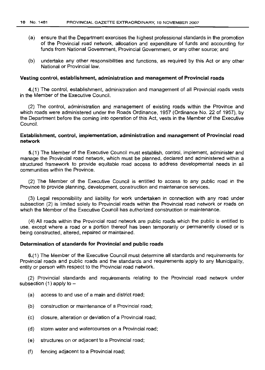- (a) ensure that the Department exercises the highest professional standards in the promotion of the Provincial road network, allooation and expenditure of funds and accounting for funds from National Government, Provincial Government, or any other source; and
- (b) undertake any other responsibilities and functions, as required by this Act or any other National or Provincial law.

#### Vesting control, establishment, administration and management of Provincial roads

4.(1) The control, establishment, administration and management of all Provincial roads vests in the Member of the Executive Council.

(2) The control, administration and management of existing roads within the Province and which roads were administered under the Roads Ordinance, 1957 (Ordinance No. 22 of 1957), by the Department before the coming into operation of this Act, vests in the Member of the Executive Council.

#### Establishment, control, implementation, administration and management of Provincial road network

5.(1) The Member of the Executive Council must establish, control, implement, administer and manage the Provincial road network, which must be planned, declared and administered within a structured framework to provide equitable road access to address developmental needs in all communities within the Province.

(2) The Member of the Executive Council is entitled to access to any public road in the Province to provide planning, development, construction and maintenance services.

(3) Legal responsibility and liability for work undertaken in connection with any road under subsection (2) is limited solely to Provincial roads within the Provincial road network or roads on which the Member of the Executive Council has authorized construction or maintenance.

(4) All roads within the Provincial road network are public roads which the public is entitled to use, except where a road or a portion thereof has been temporarily or permanently closed or is being constructed, altered, repaired or maintained.

#### Determination of standards for Provincial and public roads

6.(1) The Member of the Executive Council must determine all standards and requirements for Provincial roads and public roads and the standards and requirements apply to any Municipality, entity or person with respect to the Provincial road network.

(2) Provincial standards and requirements relating to the Provincial road network under subsection  $(1)$  apply to  $-$ 

- (a) access to and use of a main and district road;
- (b) construction or maintenance of a Provincial road;
- (c) closure, alteration or deviation of a Provincial road;
- (d) storm water and watercourses on a Provincial road;
- (e) structures on or adjacent to a Provincial road;
- (f) fencing adjacent to a Provincial road;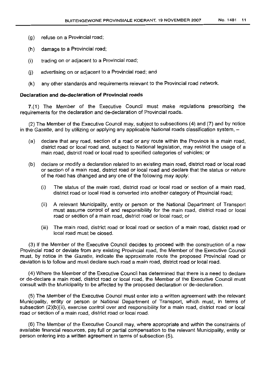- (g) refuse on a Provincial road;
- (h) damage to a Provincial road;
- (i) trading on or adjacent to a Provincial road;
- (j) advertising on or adjacent to a Provincial road; and
- (k) any other standards and requirements relevant to the Provincial road network.

#### **Declaration and de-declaration of Provincial roads**

7.( 1) The Member of the Executive Council must make regulations prescribing the requirements for the declaration and de-declaration of Provincial roads.

(2) The Member of the Executive Council may, subject to subsections (4) and (7) and by notice in the Gazette, and by utilizing or applying any applicable National roads classification system, -

- (a) declare that any road, section of a road or any route within the Province is a main road, district road or local road and, subject to National legislation, may restrict the usage of a main road, district road or local road to specified categories of vehicles; or
- (b) declare or modify a declaration related to an existing main road, district road or local road or section of a main road, district road or local road and declare that the status or nature of the road has changed and anyone of the following may apply:
	- (i) The status of the main road, district road or local road or section of a main road, district road or local road is converted into another category of Provincial road;
	- (ii) A relevant Municipality, entity or person or the National Department of Transport must assume control of and responsibility for the main road, district road or local road or section of a main road, district road or local road; or
	- (iii) The main road, district road or local road or section of a main road, district road or local road must be closed.

(3) If the Member of the Executive Council decides to proceed with the construction of a new Provincial road or deviate from any existing Provincial road, the Member of the Executive Council must, by notice in the Gazette, indicate the approximate route the proposed Provincial road or deviation is to follow and must declare such road a main road, district road or local road.

(4) Where the Member of the Executive Council has determined that there is a need to declare or de-declare a main road, district road or local road, the Member of the Executive Council must consult with the Municipality to be affected by the proposed declaration or de-declaration.

(5) The Member of the Executive Council must enter into a written agreement with the relevant Municipality, entity or person or National Department of Transport, which must, in terms of subsection (2)(b)(ii), exercise control over and responsibility for a main road, district road or local road or section of a main road, district road or local road.

(6) The Member of the Executive Council may, where appropriate and within the constraints of available financial resources, pay full or partial compensation to the relevant Municipality, entity or person entering into a written agreement in terms of subsection (5).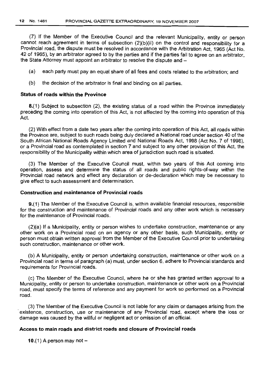(7) If the Member of the Executive Council and the relevant Municipality, entity or person cannot reach agreement in terms of subsection (2)(b)(ii) on the control and responsibility for a Provincial road, the dispute must be resolved in accordance with the Arbitration Act, 1965 (Act No. 42 of 1965), by an arbitrator agreed to by the parties and if the parties fail to agree on an arbitrator the State Attorney must appoint an arbitrator to resolve the dispute and  $-$ 

- (a) each party must pay an equal share of all fees and costs related to the arbitration; and
- (b) the decision of the arbitrator is final and binding on all parties.

## Status of roads within the Province

8.(1) Subject to subsection (2), the existing status of a road within the Province immediately preceding the coming into operation of this Act, is not affected by the coming into operation of this Act.

(2) With effect from a date two years after the coming into operation of this Act, all roads within the Province are, subject to such roads being duly declared a National road under section 40 of the South African National Roads Agency Limited and National Roads Act, 1998 (Act No.7 of 1998), or a Provincial road as contemplated in section 7 and subject to any other provision of this Act, the responsibility of the Municipality within which area of jurisdiction such road is situated.

(3) The Member of the Executive Council must, within two years of this Act coming into operation, assess and determine the status of all roads and public rights-of-way within the Provincial road network and effect any declaration or de-declaration which may be necessary to give effect to such assessment and determination.

## Construction and maintenance of Provincial roads

9.(1) The Member of the Executive Council is, within available financial resources, responsible for the construction and maintenance of Provincial roads and any other work which is necessary for the maintenance of Provincial roads.

(2)(a) If a Municipality, entity or person wishes to undertake construction, maintenance or any other work on a Provincial road on an agency or any other basis, such Municipality, entity or person must obtain written approval from the Member of the Executive Council prior to undertaking such construction, maintenance or other work.

(b) A Municipality, entity or person undertaking construction, maintenance or other work on a Provincial road in terms of paragraph (a) must, under section 6, adhere to Provincial standards and requirements for Provincial roads.

(c) The Member of the Executive Council, where he or she has granted written approval to a Municipality, entity or person to undertake construction, maintenance or other work on a Provincial road, must specify the terms of reference and any payment for work so performed on a Provincial road.

(3) The Member of the Executive Council is not liable for any claim or damages arising from the .existence, construction, use or maintenance of any Provincial road, except where the loss or damage was caused by the willful or negligent act or omission of an official.

## Access to main roads and district roads and closure of Provincial roads

10.(1) A person may not  $-$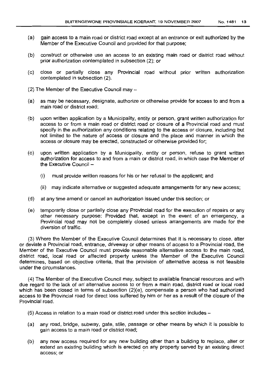- (a) gain access to a main road or district road except at an entrance or exit authorized by the Member of the Executive Council and provided for that purpose;
- (b) construct or otherwise use an access to an existing main road or district road without prior authorization contemplated in subsection (2); or
- (c) close or partially close any Provincial road without prior written authorization contemplated in subsection (2).
- (2) The Member of the Executive Council may -
- (a) as may be necessary, designate, authorize or otherwise provide for access to and from a main road or district road;
- (b) upon written application by a Municipality, entity or person, grant written authorization for access to or from a main road or district road or closure of a Provincial road and must specify in the authorization any conditions relating to the access or closure, including but not limited to the nature of access or closure and the place and manner in which the access or closure may be erected, constructed or otherwise provided for;
- (c) upon written application by a Municipality, entity or person, refuse to grant written authorization for access to and from a main or district road, in which case the Member of the Executive Council  $-$ 
	- (I) must provide written reasons for his or her refusal to the applicant; and
	- (ii) may indicate alternative or suggested adequate arrangements for any new access;
- (d) at any time amend or cancel an authorization issued under this section; or
- (e) temporarily close or partially close any Provincial road for the execution of repairs or any other necessary purpose: Provided that, except in the event of an emergency, a Provincial road may not be completely closed unless arrangements are made for the diversion of traffic.

(3) Where the Member of the Executive Council determines that it is necessary to close, alter or deviate a Provincial road, entrance, driveway or other means of access to a Provincial road, the Member of the Executive Council must provide reasonable alternative access to the main road, district road, local road or affected property unless the Member of the Executive Council determines, based on objective criteria, that the provision of alternative access is not feasible under the circumstances.

(4) The Member of the Executive Council may, subject to available financial resources and with due regard to the lack of an' alternative access to or from a main road, district road or local road which has been closed in terms of subsection (2)(e), compensate a person who had authorized access to the Provincial road for direct loss suffered by him or her as a result of the closure of the Provincial road.

- (5) Access in relation to a main road or district road under this section includes-
- (a) any road, bridge, subway, gate, stile, passage or other means by which it is possible to gain access to a main road or district road;
- (b) any new access required for any new building other than a building to replace, alter or extend an existing building which is erected on any property served by an existing direct access; or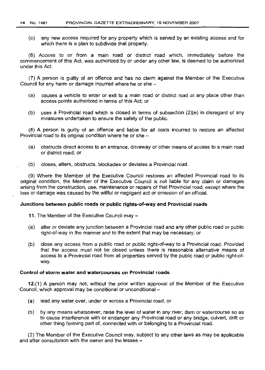(c) any new access required for any property which is served by an existing access and for which there is a plan to subdivide that property.

(6) Access to or from a main road or district road which, immediately before the commencement of this Act, was authorized by or under any other law, is deemed to be authorized under this Act.

(7) A person is guilty of an offence and has no claim against the Member of the Executive Council for any harm or damage incurred where he or she -

- (a) causes a vehicle to enter or exit to a main road or district road at any place other than access points authorized in terms of this Act; or
- (b) uses a Provincial road which is closed in terms of subsection (2)(e) in disregard of any measures undertaken to ensure the safety of the public.

(8) A person is guilty of an offence and liable for all costs incurred to restore an affected Provincial road to its original condition where he or she -

- (a) obstructs direct access to an entrance, driveway or other means of access to a main road or district road; or
- (b) closes, alters, obstructs, blockades or deviates a Provincial road.

(9) Where the Member of the Executive Council restores an affected Provincial road to its original condition, the Member of the Executive Council is not liable for any claim or damages arising from the construction, use, maintenance or repairs of that Provincial road, except where the loss or damage was caused by the willful or negligent act or omission of an official.

#### **Junctions between public roads or public rights-ot-way and Provincial roads**

- 11. The Member of the Executive Council may -
- (a) alter or deviate any junction between a Provincial road and any other public road or public right-of-way in the manner and to the extent that may be necessary; or
- (b) close any access from a public road or public right-of-way to a Provincial road: Provided that the access must not be closed unless there is reasonable alternative means of access to a Provincial road from all properties served by the public road or public right-ofway.

#### **Control of storm water and watercourses on Provincial roads**

12.(1) A person may not, without the prior written approval of the Member of the Executive Council, which approval may be conditional or unconditional -

- (a) lead any water over, under or across a Provincial road; or
- (b) by any means whatsoever, raise the level of water in any river, dam or watercourse so as to cause interference with or endanger any Provincial road or any bridge, culvert, drift or other thing forming part of, connected with or belonging to a Provincial road.

(2) The Member of the Executive Council may, subject to any other laws as may be applicable and after consultation with the owner and the lessee  $-$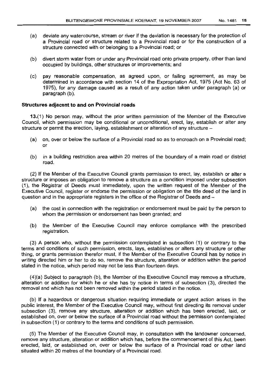- (a) deviate any watercourse, stream or river if the deviation is necessary for the protection of a Provincial road or structure related to a Provincial road or for the construction of a structure connected with or belonging to a Provincial road; or
- (b) divert storm water from or under any Provincial road onto private property, other than land occupied by buildings, other structures or improvements; and
- (c) pay reasonable compensation, as agreed upon, or failing agreement, as may be determined in accordance with section 14 of the Expropriation Act, 1975 (Act No. 63 of 1975), for any damage caused as a result of any action taken under paragraph (a) or paragraph (b).

## Structures adjacent to and on Provincial roads

13.(1) No person may, without the prior written permission of the Member of the Executive Council, which permission may be conditional or unconditional, erect, lay, establish or alter any structure or permit the erection, laying, establishment or alteration of any structure -

- (a) on, over or below the surface of a Provincial road so as to encroach on a Provincial road; or
- (b) in a building restriction area within 20 metres of the boundary of a main road or district road.

(2) If the Member of the Executive Council grants permission to erect, lay, establish or alter a structure or imposes an obligation to remove a structure as a condition imposed under subsection (1), the Registrar of Deeds must immediately, upon the written request of the Member of the Executive Council, register or endorse the permission or obligation on the title deed of the land in question and in the appropriate registers in the office of the Registrar of Deeds and -

- (a) the cost in connection with the registration or endorsement must be paid by the person to whom the permission or endorsement has been granted; and
- (b) the Member of the Executive Council may enforce compliance with the prescribed registration.

(3) A person who, without the permission contemplated in subsection (1) or contrary to the terms and conditions of such permission, erects, lays, establishes or alters any structure or other thing, or grants permission therefor must, if the Member of the Executive Council has by notice in writing directed him or her to do so, remove the structure, alteration or addition within the period stated in the notice, which period may not be less than fourteen days.

(4)(a) Subject to paragraph (b), the Member of the Executive Council may remove a structure, alteration or addition for which he or she has by notice in terms of subsection (3), directed the removal and which has not been removed within the period stated in the notice.

(b) If a hazardous or dangerous situation requiring immediate or urgent action arises in the public interest, the Member of the Executive Council may, without first directing its removal under subsection (3), remove any structure, alteration or addition which has been erected, laid, or established on, over or below the surface of a Provincial road without the permission contemplated in subsection (1) or contrary to the terms and conditions of such permission.

(5) The Member of the Executive Council may, in consultation with the landowner concerned, remove any structure, alteration or addition which has, before the commencement of this Act, been erected, laid, or established on, over or below the surface of a Provincial road or other land situated within 20 metres of the boundary of a Provincial road.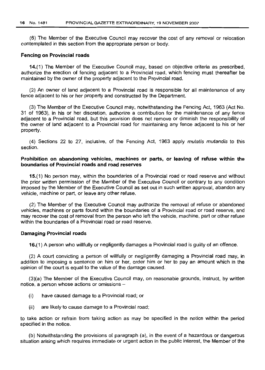(6) The Member of the Executive Council may recover the cost of any removal or relocation contemplated in this section from the appropriate person or body.

#### Fencing on Provincial roads

14.(1) The Member of the Executive Council may, based on objective criteria as prescribed, authorize the erection of fencing adjacent to a Provincial road, which fencing must thereafter be maintained by the owner of the property adjacent to the Provincial road.

(2) An owner of land adjacent to a Provincial road is responsible for all maintenance of any fence adjacent to his or her property and constructed by the Department.

(3) The Member of the Executive Council may, notwithstanding the Fencing Act, 1963 (Act No. 31 of 1963), in his or her discretion, authorize a contribution for the maintenance of any fence adjacent to a Provincial road, but this provision does not remove or diminish the responsibility of the owner of land adjacent to a Provincial road for maintaining any fence adjacent to his or her property.

(4) Sections 22 to 27, inclusive, of the Fencing Act, 1963 apply *mutatis mutandis* to this section.

## Prohibition on abandoning vehicles, machines or parts, or leaving of refuse within the boundaries of Provincial roads and road reserves

15.(1) No person may, within the boundaries of a Provincial road or road reserve and without the prior written permission of the Member of the Executive Council or contrary to any condition imposed by the Member of the Executive Council as set out in such written approval, abandon any vehicle, machine or part, or leave any other refuse.

(2) The Member of the Executive Council may authorize the removal of refuse or abandoned vehicles, machines or parts found within the boundaries of a Provincial road or road reserve, and may recover the cost of removal from the person who left the vehicle, machine, part or other refuse within the boundaries of a Provincial road or road reserve.

## Damaging Provincial roads

16.(1) A person who willfully or negligently damages a Provincial road is guilty of an offence.

(2) A court convicting a person of willfully or negligently damaging a Provincial road may, in addition to imposing a sentence on him or her, order him or her to pay an amount which in the opinion of the court is equal to the value of the damage caused.

(3)(a) The Member of the Executive Council may, on reasonable grounds, instruct, by written notice, a person whose actions or omissions -

- (i) have caused damage to a Provincial road; or
- (ii) are likely to cause damage to a Provincial road;

to take action or refrain from taking action as may be specified in the notice within the period specified in the notice.

(b) Notwithstanding the provisions of paragraph (a), in the event of a hazardous or dangerous situation arising which requires immediate or urgent action in the public interest, the Member of the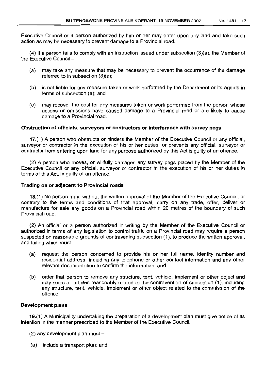Executive Council or a person authorized by him or her may enter upon any land and take such action as may be necessary to prevent damage to a Provincial road.

(4) If a person fails to comply with an instruction issued under subsection (3)(a), the Member of the Executive Council  $-$ 

- (a) may take any measure that may be necessary to prevent the occurrence of the damage referred to in subsection (3)(a);
- (b) is not liable for any measure taken or work performed by the Department or its agents in terms of subsection (a); and
- (c) may recover the cost for any measures taken or work performed from the person whose actions or omissions have caused damage to a Provincial road or are likely to cause damage to a Provincial road.

## Obstruction of officials, surveyors or contractors or interference with survey pegs

17.(1) A person who obstructs or hinders the Member of the Executive Council or any official, surveyor or contractor in the execution of his or her duties, or prevents any official, surveyor or contractor from entering upon land for any purpose authorized by this Act is guilty of an offence.

(2) A person who moves, or willfully damages any survey pegs placed by the Member of the Executive Council or any official, surveyor or contractor in the execution of his or her duties in terms of this Act, is guilty of an offence.

#### Trading on or adjacent to Provincial roads

18.(1) No person may, without the written approval of the Member of the Executive Council, or contrary to the terms and conditions of that approval, carry on any trade, offer, deliver or manufacture for sale any goods on a Provincial road within 20 metres of the boundary of such Provincial road.

(2) An official or a person authorized in writing by the Member of the Executive Councilor authorized in terms of any legislation to control traffic on a Provincial road may require a person suspected on reasonable grounds of contravening subsection (1), to produce the written approval, and failing which must  $-$ 

- (a) request the person concerned to provide his or her full name, identity number and residential address, including any telephone or other contact information and any other relevant documentation to confirm the information; and
- (b) order that person to remove any structure, tent, vehicle, implement or other object and may seize all articles reasonably related to the contravention of subsection (1), including any structure, tent, vehicle, implement or other object related to the commission of the offence.

## Development plans

19.(1) A Municipality undertaking the preparation of a development plan must give notice of its intention in the manner prescribed to the Member of the Executive Council.

 $(2)$  Any development plan must  $-$ 

(a) include a transport plan; and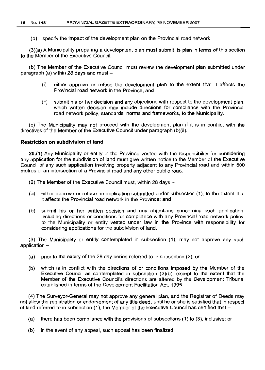(b) specify the impact of the development plan on the Provincial road network.

(3)(a) A Municipality preparing a development plan must submit its plan in terms of this section to the Member of the Executive Council.

(b) The Member of the Executive Council must review the development plan submitted under paragraph (a) within 28 days and must -

- (i) either approve or refuse the development plan to the extent that it affects the Provincial road network in the Province; and
- (ii) submit his or her decision and any objections with respect to the development plan, which written decision may include directions for compliance with the Provincial road network policy, standards, norms and frameworks, to the Municipality.

(c) The Municipality may not proceed with the development plan if it is in conflict with the directives of the Member of the Executive Council under paragraph (b)(ii).

## **Restriction on subdivision of land**

20.(1) Any Municipality or entity in the Province vested with the responsibility for considering any application for the subdivision of land must give written notice to the Member of the Executive Council of any such application involving property adjacent to any Provincial road and within 500 metres of an intersection of a Provincial road and any other public road.

 $(2)$  The Member of the Executive Council must, within 28 days  $-$ 

- (a) either approve or refuse an application submitted under subsection (1), to the extent that it affects the Provincial road network in the Province; and
- (b) submit his or her written decision and any objections concerning such application, including directions or conditions for compliance with any Provincial road network policy, to the Municipality or entity vested under law in the Province with responsibility for considering applications for the subdivision of land.

(3) The Municipality or entity contemplated in subsection (1), may not approve any such application  $-$ 

- (a) prior to the expiry of the 28 day period referred to in subsection (2); or
- (b) which is in conflict with the directions of or conditions imposed by the Member of the Executive Council as contemplated in subsection (2)(b), except to the extent that the Member of the Executive Council's directions are altered by the Development Tribunal established in terms of the Development Facilitation Act, 1995.

(4) The Surveyor-General may not approve any general plan, and the Registrar of Deeds may not allow the registration or endorsement of any title deed, until he or she is satisfied that in respect of land referred to in subsection (1), the Member of the Executive Council has certified that-

(a) there has been compliance with the provisions of subsections (1) to (3), inclusive; or

(b) in the event of any appeal, such appeal has been finalized.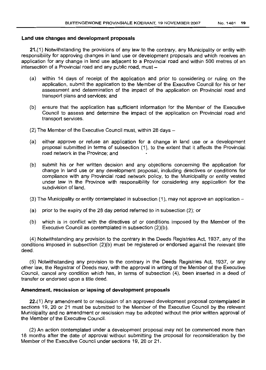#### **Land use changes and development proposals**

21.(1) Notwithstanding the provisions of any law to the contrary, any Municipality or entity with responsibility for approving changes in land use or development proposals and which receives an application for any change in land use adjacent to a Provincial road and within 500 metres of an intersection of a Provincial road and any public road, must -

- (a) within 14 days of receipt of the application and prior to considering or ruling on the application, submit the application to the Member of the Executive Council for his or her assessment and determination of the impact of the application on Provincial road and transport plans and services; and
- (b) ensure that the application has sufficient information for the Member of the Executive Council to assess and determine the impact of the application on Provincial road and transport services.
- $(2)$  The Member of the Executive Council must, within 28 days  $-$
- (a) either approve or refuse an application for a change in land use or a development proposal submitted in terms of subsection (1), to the extent that it affects the Provincial road network in the Province; and
- (b) submit his or her written decision and any objections concerning the application for change in land use or any development proposal, including directives or conditions for compliance with any Provincial road network policy, to the Municipality or entity vested under law in the Province with responsibility for considering any application for the subdivision of land.
- (3) The Municipality or entity contemplated in subsection (1), may not approve an application-
- (a) prior to the expiry of the 28 day period referred to in subsection (2); or
- (b) which is in conflict with the directives of or conditions imposed by the Member of the Executive Council as contemplated in subsection (2)(b).

(4) Notwithstanding any provision to the contrary in the Deeds Registries Act, 1937, any of the conditions imposed in subsection (2)(b) must be registered or endorsed against the relevant title deed.

(5) Notwithstanding any provision to the contrary in the Deeds Registries Act, 1937, or any other law, the Registrar of Deeds may, with the approval in writing of the Member of the Executive Council, cancel any condition which has, in terms of subsection (4), been inserted in a deed of transfer or endorsed upon a title deed.

#### **Amendment, rescission or lapsing of development proposals**

22.(1) Any amendment to or rescission of an approved development proposal contemplated in sections 19, 20 or 21 must be submitted to the Member of the Executive Council by the relevant Municipality and no amendment or rescission may be adopted without the prior written approval of the Member of the Executive Council.

(2) An action contemplated under a development proposal may not be commenced more than 18 months after the date of approval without submitting the proposal for reconsideration by the Member of the Executive Council under sections 19, 20 or 21.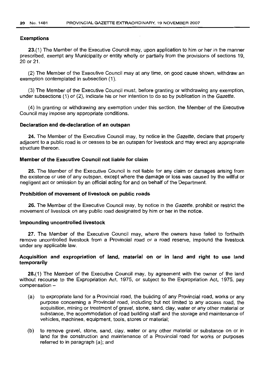#### Exemptions

23.(1) The Member of the Executive Council may, upon application to him or her in the manner prescribed, exempt any Municipality or entity wholly or partially from the provisions of sections 19, 20 or 21.

(2) The Member of the Executive Council may at any time, on good cause shown, withdraw an exemption contemplated in subsection (1).

(3) The Member of the Executive Council must, before granting or withdrawing any exemption, under subsections (1) or (2), indicate his or her intention to do 50 by publication in the Gazette.

(4) In granting or withdrawing any exemption under this section, the Member of the Executive Council may impose any appropriate conditions.

#### Declaration and de-declaration of an outspan

24. The Member of the Executive Council may, by notice in the Gazette, declare that property adjacent to a public road is or ceases to be an outspan for livestock and may erect any appropriate structure thereon.

#### Member of the Executive Council not liable for claim

25. The Member of the Executive Council is not liable for any claim or damages arising from the existence or use of any outspan, except where the damage or loss was caused by the willful or negligent act or omission by an official acting for and on behalf of the Department.

#### Prohibition of movement of livestock on public roads

26. The Member of the Executive Council may, by notice in the Gazette, prohibit or restrict the movement of livestock on any public road designated by him or her in the notice.

#### Impounding uncontrolled livestock

27. The Member of the Executive Council may, where the owners have failed to forthwith remove uncontrolled livestock from a Provincial road or a road reserve, impound the livestock under any applicable law.

## Acquisition and expropriation of land, material on or in land and right to use land temporarily

28.(1) The Member of the Executive Council may, by agreement with the owner of the land without recourse to the Expropriation Act, 1975, or subject to the Expropriation Act, 1975, pay  $common -$ 

- (a) to expropriate land for a Provincial road, the building of any Provincial road, works or any purpose concerning a Provincial road, including but not limited to any access road, the acquisition, mining or treatment of gravel, stone, sand, clay, water or any other material or substance, the accommodation of road building staff and the storage and maintenance of vehicles, machines, equipment, tools, stores or material;
- (b) to remove gravel, stone, sand, clay, water or any other material or substance on or in land for the construction and maintenance of a Provincial road for works or purposes referred to in paragraph (a); and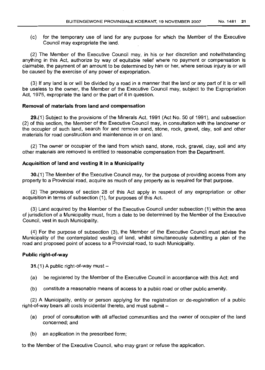(c) for the temporary use of land for any purpose for which the Member of the Executive Council may expropriate the land.

(2) The Member of the Executive Council may, in his or her discretion and notwithstanding anything in this Act, authorize by way of equitable relief where no payment or compensation is claimable, the payment of an amount to be determined by him or her, where serious injury is or will be caused by the exercise of any power of expropriation.

(3) If any land is or will be divided by a road in a manner that the land or any part of it is or will be useless to the owner, the Member of the Executive Council may, subject to the Expropriation Act, 1975, expropriate the land or the part of it in question.

## **Removal of materials from land and compensation**

29.(1) Subject to the provisions of the Minerals Act, 1991 (Act No. 50 of 1991), and subsection (2) of this section, the Member of the Executive Council may, in consultation with the landowner or the occupier of such land, search for and remove sand, stone, rock, gravel, clay, soil and other materials for road construction and maintenance in or on land.

(2) The owner or occupier of the land from which sand, stone, rock, gravel, clay, soil and any other materials are removed is entitled to reasonable compensation from the Department.

#### **Acquisition of land and vesting it in a Municipality**

30.(1) The Member of the Executive Council may, for the purpose of providing access from any property to a Provincial road, acquire as much of any property as is required for that purpose.

(2) The provisions of section 28 of this Act apply in respect of any expropriation or other acquisition in terms of subsection (1), for purposes of this Act.

(3) Land acquired by the Member of the Executive Council under subsection (1) within the area of jurisdiction of a Municipality must, from a date to be determined by the Member of the Executive Council, vest in such Municipality.

(4) For the purpose of subsection (3), the Member of the Executive Council must advise the Municipality of the contemplated vesting of land, whilst simultaneously submitting a plan of the road and proposed point of access to a Provincial road, to such Municipality.

## **Public right-of-way**

31.(1) A public right-of-way must  $-$ 

- (a) be registered by the Member of the Executive Council in accordance with this Act; and
- (b) constitute a reasonable means of access to a public road or other public amenity.

(2) A Municipality, entity or person applying for the registration or de-registration of a public right-of-way bears all costs incidental thereto, and must submit -

- (a) proof of consultation with all affected communities and the owner of occupier of the land concerned; and
- (b) an application in the prescribed form;

to the Member of the Executive Council, who may grant or refuse the application.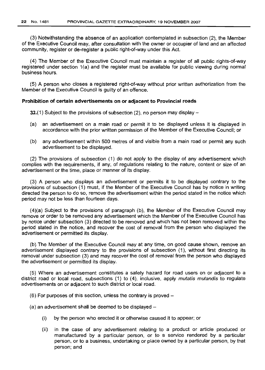(3) Notwithstanding the absence of an application contemplated in subsection (2), the Member of the Executive Council may, after consultation with the owner or occupier of land and an affected community, register or de-register a public right-of-way under this Act.

(4) The Member of the Executive Council must maintain a register of all public rights-of-way registered under section 1(a) and the register must be available for public viewing during normal business hours.

(5) A person who closes a registered right-of-way without prior written authorization from the Member of the Executive Council is guilty of an offence.

#### **Prohibition of certain advertisements on or adjacent to Provincial roads**

32.(1) Subject to the provisions of subsection (2), no person may display  $-$ 

- (a) an advertisement on a main road or permit it to be displayed unless it is displayed in accordance with the prior written permission of the Member of the Executive Council; or
- (b) any advertisement within 500 metres of and visible from a main road or permit any such advertisement to be displayed.

(2) The provisions of subsection (1) do not apply to the display of any advertisement which complies with the requirements, if any, of regulations relating to the nature, content or size of an advertisement or the time, place or manner of its display.

(3) A person who displays an advertisement or permits it to be displayed contrary to the provisions of subsection (1) must, if the Member of the Executive Council has by notice in writing directed the person to do so, remove the advertisement within the period stated in the notice which period may not be less than fourteen days.

(4)(a) Subject to the provisions of paragraph (b), the Member of the Executive Council may remove or order to be removed any advertisement which the Member of the Executive Council has by notice under subsection (3) directed to be removed and which has not been removed within the period stated in the notice, and recover the cost of removal from the person who displayed the advertisement or permitted its display.

(b) The Member of the Executive Council may at any time, on good cause shown, remove an advertisement displayed contrary to the provisions of subsection (1), without first directing its removal under subsection (3) and may recover the cost of removal from the person who displayed the advertisement or permitted its display.

(5) Where an advertisement constitutes a safety hazard for road users on or adjacent to a district road or local road, subsections (1) to (4), inclusive, apply mutatis mutandis to regulate advertisements on or adjacent to such district or local road.

 $(6)$  For purposes of this section, unless the contrary is proved  $-$ 

 $(a)$  an advertisement shall be deemed to be displayed  $-$ 

- (i) by the person who erected it or otherwise caused it to appear; or
- (ii) in the case of any advertisement relating to a product or article produced or manufactured by a particular person, or to a service rendered by a particular person, or to a business, undertaking or place owned by a particular person, by that person; and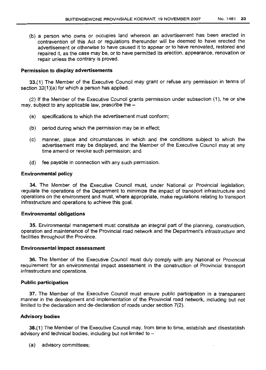(b) a person who owns or occupies land whereon an advertisement has been erected in contravention of this Act or regulations thereunder will be deemed to have erected the advertisement or otherwise to have caused it to appear or to have renovated, restored and repaired it, as the case may be, or to have permitted its erection, appearance, renovation or repair unless the contrary is proved.

## Permission to display advertisements

33.(1) The Member of the Executive Council may grant or refuse any permission in terms of section 32(1)(a) for which a person has applied.

(2) If the Member of the Executive Council grants permission under subsection (1), he or she may, subject to any applicable law, prescribe the -

- (a) specifications to which the advertisement must conform;
- (b) period during which the permission may be in effect;
- (c) manner, place and circumstances in which and the conditions subject to which the advertisement may be displayed, and the Member of the Executive Council may at any time amend or revoke such permission; and
- (d) fee payable in connection with any such permission.

## Environmental policy

34. The Member of the Executive Council must, under National or Provincial legislation, regulate the operations of the Department to minimize the impact of transport infrastructure and operations on the environment and must, where appropriate, make regulations relating to transport infrastructure and operations to achieve this goal.

## Environmental obligations

35. Environmental management must constitute an integral part of the planning, construction, operation and maintenance of the Provincial road network and the Department's infrastructure and facilities throughout the Province.

## Environmental impact assessment

36. The Member of the Executive Council must duly comply with any National or Provincial requirement for an environmental impact assessment in the construction of Provincial transport infrastructure and operations.

## Public participation

37. The Member of the Executive Council must ensure public participation in a transparent manner in the development and implementation of the Provincial road network, including but not limited to the declaration and de-declaration of roads under section 7(2).

## Advisory bodies

38.(1) The Member of the Executive Council may, from time to time, establish and disestablish advisory and technical bodies, including but not limited to  $-$ 

(a) advisory committees;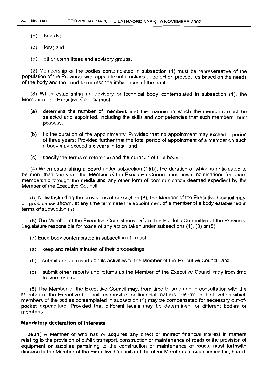- (b) boards;
- (c) fora; and
- (d) other committees and advisory groups.

(2) Membership of the bodies contemplated in subsection (1) must be representative of the population of the Province, with appointment practices or selection procedures based on the needs of the body and the need to redress the imbalances of the past.

(3) When establishing an advisory or technical body contemplated in subsection (1), the Member of the Executive Council must -

- (a) determine the number of members and the manner in which the members must be selected and appointed, including the skills and competencies that such members must possess;
- (b) fix the duration of the appointments: Provided that no appointment may exceed a period of three years: Provided further that the total period of appointment of a member on such a body may exceed six years in total; and
- (c) specify the terms of reference and the duration of that body.

(4) When establishing a board under subsection (1)(b), the duration of which is anticipated to be more than one year, the Member of the Executive Council must invite nominations for board membership through the media and any other form of communication deemed expedient by the Member of the Executive Council.

(5) Notwithstanding the provisions of subsection (3), the Member of the Executive Council may, on good cause shown, at any time terminate the appointment of a member of a body established in terms of subsection (1).

(6) The Member of the Executive Council must inform the Portfolio Committee of the Provincial Legislature responsible for roads of any action taken under subsections (1), (3) or (5).

 $(7)$  Each body contemplated in subsection  $(1)$  must -

- (a) keep and retain minutes of their proceedings;
- (b) submit annual reports on its activities to the Member of the Executive Council; and
- (c) submit other reports and returns as the Member of the Executive Council may from time to time require.

(8) The Member of the Executive Council may, from time to time and in consultation with the Member of the Executive Council responsible for financial matters, determine the level on which members of the bodies contemplated in subsection (1) may be compensated for necessary out-ofpocket expenditure: Provided that different levels may be determined for different bodies or members.

#### **Mandatory declaration of interests**

39.(1) A Member of who has or acquires any direct or indirect financial interest in matters relating to the provision of public transport, construction or maintenance of roads or the provision of equipment or supplies pertaining to the construction or maintenance of roads, must forthwith disclose to the Member of the Executive Council and the other Members of such committee, board,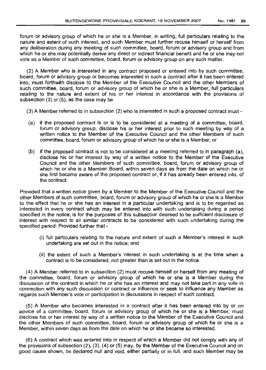forum or advisory group of which he or she is a Member, in writing, full particulars relating to the nature and extent of such interest, and such Member must further recuse himself or herself from any deliberation during any meeting of such committee, board, forum or advisory group and from which he or she may potentially derive any direct or indirect financial benefit and he or she may not vote as a Member of such committee, board, forum or advisory group on any such matter.

(2) A Member who is interested in any contract proposed or entered into by such committee, board, forum or advisory group or becomes interested in such a contract after it has been entered into, must forthwith disclose to the Member of the Executive Council and the other Members of such committee, board, forum or advisory group of which he or she is a Member, full particulars relating to the nature and extent of his or her interest in accordance with the provisions of subsection (3) or (5), as the case may be.

- (3) A Member referred to in subsection (2) who is interested in such a proposed contract must -
- (a) if the proposed contract is or is to be considered at a meeting of a committee, board, forum or advisory group, disclose his or her interest prior to such meeting by way of a written notice to the Member of the Executive Council and the other Members of such committee, board, forum or advisory group of which he or she is a Member; or
- (b) if the proposed contract is not to be considered at a meeting referred to in paragraph (a), disclose his or her interest by way of a written notice to the Member of the Executive Council and the other Members of such committee, board, forum or advisory group of which he or she is a Member Board, within seven days as from the date on which he or she first became aware of the proposed contract or, if it has already been entered into, of the contract:

Provided that a written notice given by a Member to the Member of the Executive Council and the other Members of such committee, board, forum or advisory group of which he or she is a Member to the effect that he or she has an interest in a particular undertaking and is to be regarded as interested in every contract which may be entered into with such undertaking during a period specified in the notice, is for the purposes of this subsection deemed to be sufficient disclosure of interest with respect to all similar contracts to be considered with such undertaking during the specified period: Provided further that -

- (i) full particulars relating to the nature and extent of such a Member's interest in such undertaking are set out in the notice; and
- (ii) the extent of such a Member's interest in such undertaking is at the time when a contract is to be considered, not greater than is set out in the notice.

(4) A Member referred to in subsection (2) must recuse himself or herself from any meeting of the committee, board, forum or advisory group of which he or she is a Member during the discussion of the contract in which he or she has an interest and may not take part in any vote in connection with any such discussion or contract or influence or seek to influence any Member as regards such Member's vote or participation in discussions in respect of such contract.

(5) A Member who becomes interested in a contract after it has been entered into by or on advice of a committee, board, forum or advisory group of which he or she is a Member, must disclose his or her interest by way of a written notice to the Member of the Executive Council and the other Members of such committee, board, forum or advisory group of which he or she is a Member, within seven days as from the date on which he or she became so interested.

(6) A contract which was entered into in respect of which a Member did not comply with any of the provisions of subsection (2), (3), (4) or (5) may, by the Member of the Executive Council and on good cause shown, be declared null and void, either partially or in full, and such Member may be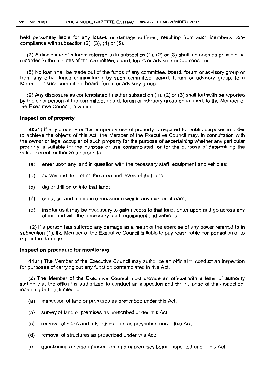held personally liable for any losses or damage suffered, resulting from such Member's noncompliance with subsection (2), (3), (4) or (5).

(7) A disclosure of interest referred to in subsection (1), (2) or (3) shall, as soon as possible be recorded in the minutes of the committee, board, forum or advisory group concerned.

(8) No loan shall be made out of the funds of any committee, board, forum or advisory group or from any other funds administered by such committee, board, forum or advisory group, to a Member of such committee, board, forum or advisory group.

(9) Any disclosure as contemplated in either subsection (1), (2) or (3) shall forthwith be reported by the Chairperson of the committee, board, forum or advisory group concerned, to the Member of the Executive Council, in writing.

## **Inspection of property**

40.(1) If any property or the temporary use of property is required for public purposes in order to achieve the objects of this Act, the Member of the Executive Council may, in consultation with the owner or legal occupier of such property for the purpose of ascertaining whether any particular property is suitable for the purpose or use contemplated, or for the purpose of determining the value thereof, authorize a person to  $-$ 

- (a) enter upon any land in question with the necessary staff, equipment and vehicles;
- (b) survey and determine the area and levels of that land;
- (c) dig or drill on or into that land;
- (d) construct and maintain a measuring weir in any river or stream;
- (e) insofar as it may be necessary to gain access to that land, enter upon and go across any other land with the necessary staff, equipment and vehicles.

(2) If a person has suffered any damage as a result of the exercise of any power referred to in subsection (1), the Member of the Executive Council is liable to pay reasonable compensation or to repair the damage.

#### **Inspection procedure for monitoring**

41.(1) The Member of the Executive Council may authorize an official to conduct an inspection for purposes of carrying out any function contemplated in this Act.

(2) The Member of the Executive Council must provide an official with a letter of authority stating that the official is authorized to conduct an inspection and the purpose of the inspection, including but not limited to  $-$ 

- (a) inspection of land or premises as prescribed under this Act;
- (b) survey of land or premises as prescribed under this Act;
- (c) removal of signs and advertisements as prescribed under this Act;
- (d) removal of structures as prescribed under this Act;
- (e) questioning a person present on land or premises being inspected under this Act;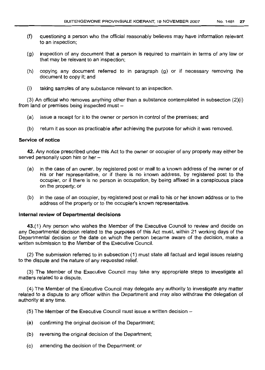- (f) questioning a person who the official reasonably believes may have information relevant to an inspection;
- (g) inspection of any document that a person is required to maintain in terms of any law or that may be relevant to an inspection;
- (h) copying any document referred to in paragraph (g) or if necessary removing the document to copy it; and
- (i) taking samples of any substance relevant to an inspection.

 $(3)$  An official who removes anything other than a substance contemplated in subsection  $(2)(i)$ from land or premises being inspected must -

- (a) issue a receipt for it to the owner or person in control of the premises; and
- (b) return it as soon as practicable after achieving the purpose for which it was removed.

## **Service of notice**

**42.** Any notice prescribed under this Act to the owner or occupier of any property may either be served personally upon him or her -

- (a) in the case of an owner, by registered post or mail to a known address of the owner or of his or her representative, or if there is no known address, by registered post to the occupier, or if there is no person in occupation, by being affixed in a conspicuous place on the property; or
- (b) in the case of an occupier, by registered post or mail to his or her known address or to the address of the property or to the occupier's known representative.

## **Internal review of Departmental decisions**

43.(1) Any person who wishes the Member of the Executive Council to review and decide on any Departmental decision related to the purposes of this Act must, within 21 working days of the Departmental decision or the date on which the person became aware of the decision. make a written submission to the Member of the Executive Council.

(2) The submission referred to in subsection (1) must state all factual and legal issues relating to the dispute and the nature of any requested relief.

(3) The Member of the Executive Council may take any appropriate steps to investigate all matters related to a dispute.

(4) The Member of the Executive Council may delegate any authority to investigate any matter related to a dispute to any officer within the Department and may also withdraw the delegation of authority at any time.

- $(5)$  The Member of the Executive Council must issue a written decision  $-$
- (a) confirming the original decision of the Department;
- (b) reversing the original decision of the Department;
- (c) amending the decision of the Department; or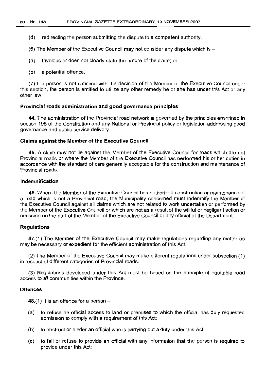- (d) redirecting the person submitting the dispute to a competent authority.
- (6) The Member of the Executive Council may not consider any dispute which is  $-$
- (a) frivolous or does not clearly state the nature of the claim; or
- (b) a potential offence.

(7) If a person is not satisfied with the decision of the Member of the Executive Council under this section, the person is entitled to utilize any other remedy he or she has under this Act or any other law.

#### Provincial roads administration and good governance principles

44. The administration of the Provincial road network is governed by the principles enshrined in section 195 of the Constitution and any National or Provincial policy or legislation addressing good governance and public service delivery.

#### Claims against the Member of the Executive Council

45. A claim may not lie against the Member of the Executive Council for roads which are not Provincial roads or where the Member of the Executive Council has performed his or her duties in accordance with the standard of care generally acceptable for the construction and maintenance of Provincial roads.

## Indemnification

46. Where the Member of the Executive Council has authorized construction or maintenance of a road which is not a Provincial road, the Municipality concerned must indemnify the Member of the Executive Council against all claims which are not related to work undertaken or performed by the Member of the Executive Council or which are not as a result of the willful or negligent action or omission on the part of the Member of the Executive Council or any official of the Department.

#### Regulations

47.(1) The Member of the Executive Council may make regulations regarding any matter as may be necessary or expedient for the efficient administration of this Act.

(2) The Member of the Executive Council may make different regulations under subsection (1) in respect of different categories of Provincial roads.

(3) Regulations developed under this Act must be based on the principle of equitable road access to all communities within the Province.

#### **Offences**

48.(1) It is an offence for a person  $-$ 

- (a) to refuse an official access to land or premises to which the official has duly requested admission to comply with a requirement of this Act;
- (b) to obstruct or hinder an official who is carrying out a duty under this Act;
- (c) to fail or refuse to provide an official with any information that the person is required to provide under this Act;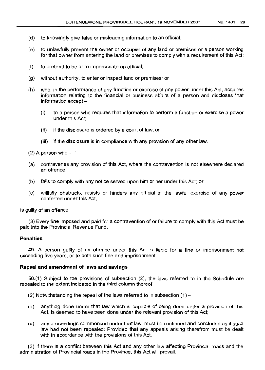- (d) to knowingly give false or misleading information to an official;
- (e) to unlawfully prevent the owner or occupier of any land or premises or a person working for that owner from entering the land or premises to comply with a requirement of this Act;
- (f) to pretend to be or to impersonate an official;
- (g) without authority, to enter or inspect land or premises; or
- (h) who, in the performance of any function or exercise of any power under this Act, acquires information relating to the financial or business affairs of a person and discloses that  $information$  except  $-$ 
	- (i) to a person who requires that information to perform a function or exercise a power under this Act;
	- (ii) if the disclosure is ordered by a court of law; or
	- (iii) if the disclosure is in compliance with any provision of any other law.

 $(2)$  A person who  $-$ 

- (a) contravenes any provision of this Act, where the contravention is not elsewhere declared an offence;
- (b) fails to comply with any notice served upon him or her under this Act; or
- (c) willfully obstructs, resists or hinders any official in the lawful exercise of any power conferred under this Act,

is guilty of an offence.

(3) Every fine imposed and paid for a contravention of or failure to comply with this Act must be paid into the Provincial Revenue Fund.

## **Penalties**

**49.** A person guilty of an offence under this Act is liable for a fine or imprisonment not exceeding five years, or to both such fine and imprisonment.

## **Repeal and amendment of laws and savings**

50.(1) Subject to the provisions of subsection (2), the laws referred to in the Schedule are repealed to the extent indicated in the third column thereof.

 $(2)$  Notwithstanding the repeal of the laws referred to in subsection  $(1)$  -

- (a) anything done under that law which is capable of being done under a provision of this Act, is deemed to have been done under the relevant provision of this Act;
- (b) any proceedings commenced under that law, must be continued and concluded as if such law had not been repealed: Provided that any appeals arising therefrom must be dealt with in accordance with the provisions of this Act.

(3) If there is a conflict between this Act and any other law affecting Provincial roads and the administration of Provincial roads in the Province, this Act will prevail.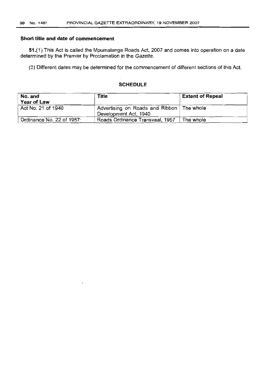## **Short title and date of commencement**

51.(1) This Act is called the Mpumalanga Roads Act, 2007 and comes into operation on a date determined by the Premier by Proclamation in the Gazette.

(2) Different dates may be determined for the commencement of different sections of this Act.

## **SCHEDULE**

 $\overline{\phantom{a}}$ 

| No. and<br>Year of Law      | Title                                                                | <b>Extent of Repeal</b> |
|-----------------------------|----------------------------------------------------------------------|-------------------------|
| Act No. 21 of 1940          | Advertising on Roads and Ribbon   The whole<br>Development Act, 1940 |                         |
| Ordinance No. 22 of $19577$ | Roads Ordinance Transvaal, 1957                                      | The whole               |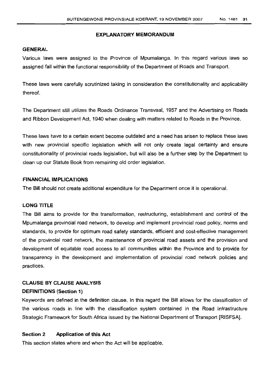## GENERAL

Various laws were assigned to the Province of Mpumalanga. In this regard various laws so assigned fall within the functional responsibility of the Department of Roads and Transport.

These laws were carefully scrutinized taking in consideration the constitutionality and applicability thereof.

The Department still utilizes the Roads Ordinance Transvaal. 1957 and the Advertising on Roads and Ribbon Development Act, 1940 when dealing with matters related to Roads in the Province.

These laws have to a certain extent become outdated and a need has arisen to replace these laws with new provincial specific legislation which will not only create legal certainty and ensure constitutionality of provincial roads legislation, but will also be a further step by the Department to clean up our Statute Book from remaining old order legislation.

## FINANCIAL IMPLICATIONS

The Bill should not create additional expenditure for the Department once it is operational.

## LONG TITLE

The Bill aims to provide for the transformation, restructuring, establishment and control of the Mpumalanga provincial road network, to develop and implement provincial road policy, norms and standards, to provide for optimum road safety standards, efficient and cost-effective management of the provincial road network, the maintenance of provincial road assets and the provision and development of equitable road access to all communities within the Province and to provide for transparency in the development and implementation of provincial road network policies and practices.

## CLAUSE BY CLAUSE ANALYSIS

## DEFINITIONS (Section 1)

Keywords are defined in the definition clause. In this regard the Bill allows for the classification of the various roads in line with the classification system contained in the Road Infrastructure Strategic Framework for South Africa issued by the National Department of Transport [RISFSA].

## Section 2 Application of this Act

This section states where and when the Act will be applicable.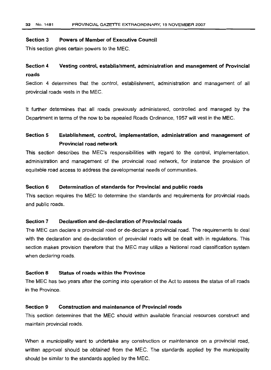#### **Section 3 Powers of Member of Executive Council**

This section gives certain powers to the MEC.

#### **Vesting control, establishment, administration and management of Provincial Section 4 roads**

Section 4 determines that the control, establishment, administration and management of all provincial roads vests in the MEG.

It further determines that all roads previously administered, controlled and managed by the Department in terms of the now to be repealed Roads Ordinance, 1957 will vest in the MEG.

#### **Section 5 Establishment, control, implementation, administration and management of Provincial road network**

This section describes the MEG's responsibilities with regard to the control, implementation, administration and management of the provincial road network, for instance the provision of equitable road access to address the developmental needs of communities.

## **Section 6 Determination of standards for Provincial and public roads**

This section requires the MEG to determine the standards and requirements for provincial roads and public roads.

## **Section 7 Declaration and de-declaration of Provincial roads**

The MEG can declare a provincial road or de-declare a provincial road. The requirements to deal with the declaration and de-declaration of provincial roads will be dealt with in regulations. This section makes provision therefore that the MEG may utilize a National road classification system when declaring roads.

#### **Section 8 Status of roads within the Province**

The MEG has two years after the coming into operation of the Act to assess the status of all roads in the Province.

## **Section 9 Construction and maintenance of Provincial roads**

This section determines that the MEG should within available financial resources construct and maintain provincial roads.

When a municipality want to undertake any construction or maintenance on a provincial road, written approval should be obtained from the MEG. The standards applied by the municipality should be similar to the standards applied by the MEG.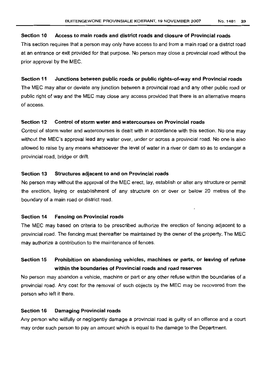## **Section 10 Access to main roads and district roads and closure of Provincial roads**

This section requires that a person may only have access to and from a main road or a district road at an entrance or exit provided for that purpose. No person may close a provincial road without the prior approval by the MEC.

#### **Section 11 Junctions between public roads or public rights-of-way and Provincial roads**

The MEC may alter or deviate any junction between a provincial road and any other public road or public right of way and the MEC may close any access provided that there is an alternative means of access.

## **Section 12 Control of storm water and watercourses on Provincial roads**

Control of storm water and watercourses is dealt with in accordance with this section. No one may without the MEC's approval lead any water over, under or across a provincial road. No one is also allowed to raise by any means whatsoever the level of water in a river or dam so as to endanger a provincial road, bridge or drift.

## **Section 13 Structures adjacent to and on Provincial roads**

No person may without the approval of the MEC erect, lay, establish or alter any structure or permit the erection, laying or establishment of any structure on or over or below 20 metres of the boundary of a main road or district road.

#### **Section 14 Fencing on Provincial roads**

The MEC may based on criteria to be prescribed authorize the erection of fencing adjacent to a provincial road. The fencing must thereafter be maintained by the owner of the property. The MEC may authorize a contribution to the maintenance of fences.

# **Section 15 Prohibition on abandoning vehicles, machines or parts, or leaving of refuse within the boundaries of Provincial roads and road reserves**

No person may abandon a vehicle, machine or part or any other refuse within the boundaries of a provincial road. Any cost for the removal of such objects by the MEC may be recovered from the person who left it there.

#### **Section 16 Damaging Provincial roads**

Any person who wilfully or negligently damage a provincial road is guilty of an offence and a court may order such person to pay an amount which is equal to the damage to the Department.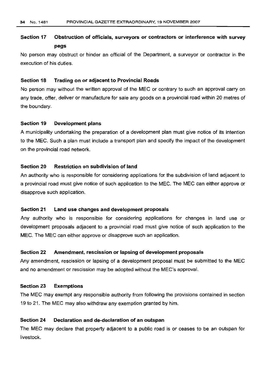## Section 17 Obstruction of officials, surveyors or contractors or interference with survey pegs

No person may obstruct or hinder an official of the Department, a surveyor or contractor in the execution of his duties.

## Section 18 Trading on or adjacent to Provincial Roads

No person may without the written approval of the MEG or contrary to such an approval carry on any trade, offer, deliver or manufacture for sale any goods on a provincial road within 20 metres of the boundary.

## Section 19 Development plans

A municipality undertaking the preparation of a development plan must give notice of its intention to the MEG. Such a plan must include a transport plan and specify the impact of the development on the provincial road network.

## Section 2D Restriction on subdivision of land

An authority who is responsible for considering applications for the subdivision of land adjacent to a provincial road must give notice of such application to the MEC. The MEG can either approve or disapprove such application.

#### Section 21 Land use changes and development proposals

Any authority who is responsible for considering applications for changes in land use or development proposals adjacent to a provincial road must give notice of such application to the MEG. The MEG can either approve or disapprove such an application.

## Section 22 Amendment, rescission or lapsing of development proposals

Any amendment, rescission or lapsing of a development proposal must be submitted to the MEG and no amendment or rescission may be adopted without the MEC's approval.

#### Section 23 Exemptions

The MEG may exempt any responsible authority from following the provisions contained in section 19 to 21. The MEG may also withdraw any exemption granted by him.

## Section 24 Declaration and de-declaration of an outspan

The MEC may declare that property adjacent to a public road is or ceases to be an outspan for livestock.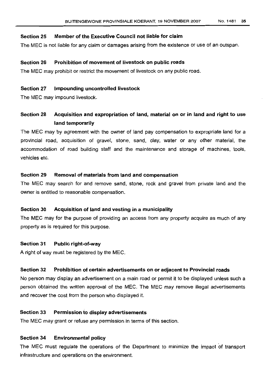## **Section 25 Member of the** Executive Council **not liable for claim**

The MEC is not liable for any claim or damages arising from the existence or use of an outspan.

## **Section 26 Prohibition of movement of livestock on public roads**

The MEC may prohibit or restrict the movement of livestock on any public road.

## **Section 27 Impounding uncontrolled livestock**

The MEC may impound livestock.

# **Section 28 Acquisition and expropriation of land, material on or in land and right to use land temporarily**

The MEC may by agreement with the owner of land pay compensation to expropriate land for a provincial road, acquisition of gravel, stone. sand, clay, water or any other material, the accommodation of road building staff and the maintenance and storage of machines, tools, vehicles etc.

## **Section 29 Removal of materials from land and compensation**

The MEC may search for and remove sand, stone, rock and gravel from private land and the owner is entitled to reasonable compensation.

## **Section 30 Acquisition of land and vesting in a municipality**

The MEC may for the purpose of providing an access from any property acquire as much of any property as is required for this purpose.

## **Section 31 Public right-of-way**

A right of way must be registered by the MEC.

## **Section 32 Prohibition of certain advertisements on or adjacent to Provincial roads**

No person may display an advertisement on a main road or permit it to be displayed unless such a person obtained the written approval of the MEC. The MEC may remove illegal advertisements and recover the cost from the person who displayed it.

## **Section 33 Permission to display advertisements**

The MEC may grant or refuse any permission in terms of this section.

## **Section 34 Environmental policy**

The MEC must regulate the operations of the Department to minimize the impact of transport infrastructure and operations on the environment.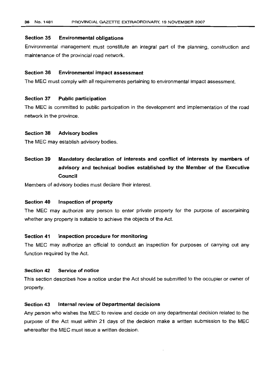## **Section 35 Environmental obligations**

Environmental management must constitute an integral part of the planning. construction and maintenance of the provincial road network.

## **Section 36 Environmental impact assessment**

The MEG must comply with all requirements pertaining to environmental impact assessment.

#### **Section 37 Public participation**

The MEG is committed to public participation in the development and implementation of the road network in the province.

#### **Section 38 Advisory bodies**

The MEG may establish advisory bodies.

**Section 39 Mandatory declaration of interests and conflict of interests by members of advisory and technical bodies established by the Member of the Executive Council**

Members of advisory bodies must declare their interest.

## **Section 40 Inspection of property**

The MEG may authorize any person to enter private property for the purpose of ascertaining whether any property is suitable to achieve the objects of the Act.

#### **Section 41 Inspection procedure for monitoring**

The MEG may authorize an official to conduct an inspection for purposes of carrying out any function required by the Act.

#### **Section 42 Service of notice**

This section describes how a notice under the Act should be submitted to the occupier or owner of property.

## **Section 43 Internal review of Departmental decisions**

Any person who wishes the MEG to review and decide on any departmental decision related to the purpose of the Act must within 21 days of the decision make a written submission to the MEG whereafter the MEG must issue a written decision.